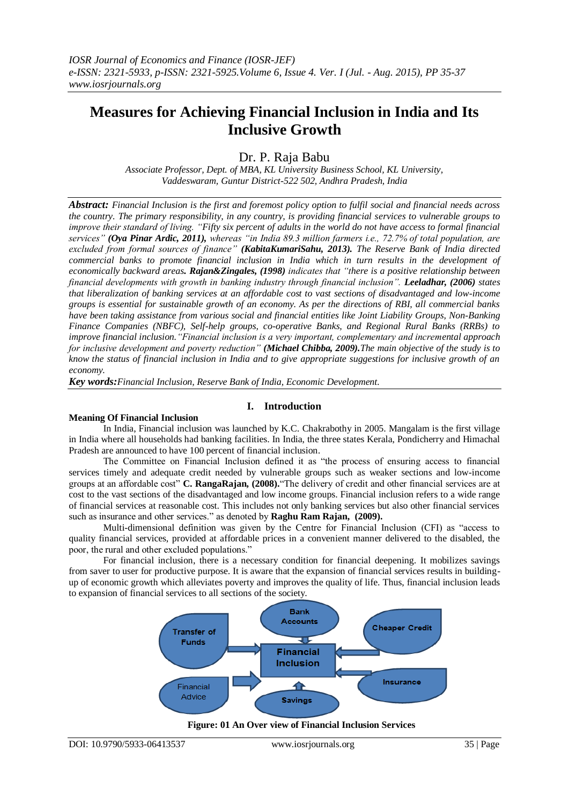# **Measures for Achieving Financial Inclusion in India and Its Inclusive Growth**

Dr. P. Raja Babu

*Associate Professor, Dept. of MBA, KL University Business School, KL University, Vaddeswaram, Guntur District-522 502, Andhra Pradesh, India*

*Abstract: Financial Inclusion is the first and foremost policy option to fulfil social and financial needs across the country. The primary responsibility, in any country, is providing financial services to vulnerable groups to improve their standard of living. "Fifty six percent of adults in the world do not have access to formal financial services" (Oya Pinar Ardic, 2011), whereas "in India 89.3 million farmers i.e., 72.7% of total population, are excluded from formal sources of finance" (KabitaKumariSahu, 2013). The Reserve Bank of India directed commercial banks to promote financial inclusion in India which in turn results in the development of economically backward areas. Rajan&Zingales, (1998) indicates that "there is a positive relationship between financial developments with growth in banking industry through financial inclusion". Leeladhar, (2006) states that liberalization of banking services at an affordable cost to vast sections of disadvantaged and low-income groups is essential for sustainable growth of an economy. As per the directions of RBI, all commercial banks have been taking assistance from various social and financial entities like Joint Liability Groups, Non-Banking Finance Companies (NBFC), Self-help groups, co-operative Banks, and Regional Rural Banks (RRBs) to improve financial inclusion."Financial inclusion is a very important, complementary and incremental approach for inclusive development and poverty reduction" (Michael Chibba, 2009).The main objective of the study is to know the status of financial inclusion in India and to give appropriate suggestions for inclusive growth of an economy.* 

*Key words:Financial Inclusion, Reserve Bank of India, Economic Development.*

## **I. Introduction**

## **Meaning Of Financial Inclusion**

In India, Financial inclusion was launched by K.C. Chakrabothy in 2005. Mangalam is the first village in India where all households had banking facilities. In India, the three states Kerala, Pondicherry and Himachal Pradesh are announced to have 100 percent of financial inclusion.

The Committee on Financial Inclusion defined it as "the process of ensuring access to financial services timely and adequate credit needed by vulnerable groups such as weaker sections and low-income groups at an affordable cost" **C. RangaRajan, (2008).**"The delivery of credit and other financial services are at cost to the vast sections of the disadvantaged and low income groups. Financial inclusion refers to a wide range of financial services at reasonable cost. This includes not only banking services but also other financial services such as insurance and other services." as denoted by **Raghu Ram Rajan, (2009).**

Multi-dimensional definition was given by the Centre for Financial Inclusion (CFI) as "access to quality financial services, provided at affordable prices in a convenient manner delivered to the disabled, the poor, the rural and other excluded populations."

For financial inclusion, there is a necessary condition for financial deepening. It mobilizes savings from saver to user for productive purpose. It is aware that the expansion of financial services results in buildingup of economic growth which alleviates poverty and improves the quality of life. Thus, financial inclusion leads to expansion of financial services to all sections of the society.



## **Figure: 01 An Over view of Financial Inclusion Services**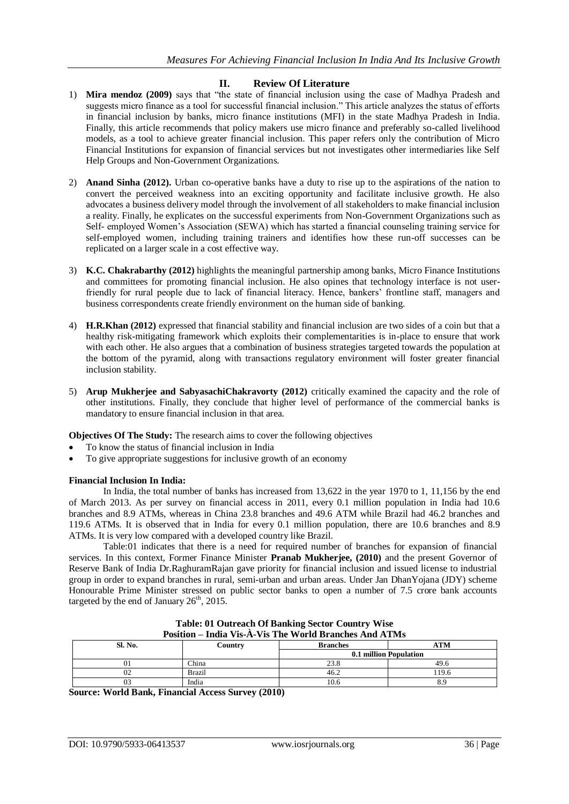## **II. Review Of Literature**

- 1) **Mira mendoz (2009)** says that "the state of financial inclusion using the case of Madhya Pradesh and suggests micro finance as a tool for successful financial inclusion." This article analyzes the status of efforts in financial inclusion by banks, micro finance institutions (MFI) in the state Madhya Pradesh in India. Finally, this article recommends that policy makers use micro finance and preferably so-called livelihood models, as a tool to achieve greater financial inclusion. This paper refers only the contribution of Micro Financial Institutions for expansion of financial services but not investigates other intermediaries like Self Help Groups and Non-Government Organizations.
- 2) **Anand Sinha (2012).** Urban co-operative banks have a duty to rise up to the aspirations of the nation to convert the perceived weakness into an exciting opportunity and facilitate inclusive growth. He also advocates a business delivery model through the involvement of all stakeholders to make financial inclusion a reality. Finally, he explicates on the successful experiments from Non-Government Organizations such as Self- employed Women's Association (SEWA) which has started a financial counseling training service for self-employed women, including training trainers and identifies how these run-off successes can be replicated on a larger scale in a cost effective way.
- 3) **K.C. Chakrabarthy (2012)** highlights the meaningful partnership among banks, Micro Finance Institutions and committees for promoting financial inclusion. He also opines that technology interface is not userfriendly for rural people due to lack of financial literacy. Hence, bankers" frontline staff, managers and business correspondents create friendly environment on the human side of banking.
- 4) **H.R.Khan (2012)** expressed that financial stability and financial inclusion are two sides of a coin but that a healthy risk-mitigating framework which exploits their complementarities is in-place to ensure that work with each other. He also argues that a combination of business strategies targeted towards the population at the bottom of the pyramid, along with transactions regulatory environment will foster greater financial inclusion stability.
- 5) **Arup Mukherjee and SabyasachiChakravorty (2012)** critically examined the capacity and the role of other institutions. Finally, they conclude that higher level of performance of the commercial banks is mandatory to ensure financial inclusion in that area.
- **Objectives Of The Study:** The research aims to cover the following objectives
- To know the status of financial inclusion in India
- To give appropriate suggestions for inclusive growth of an economy

## **Financial Inclusion In India:**

In India, the total number of banks has increased from 13,622 in the year 1970 to 1, 11,156 by the end of March 2013. As per survey on financial access in 2011, every 0.1 million population in India had 10.6 branches and 8.9 ATMs, whereas in China 23.8 branches and 49.6 ATM while Brazil had 46.2 branches and 119.6 ATMs. It is observed that in India for every 0.1 million population, there are 10.6 branches and 8.9 ATMs. It is very low compared with a developed country like Brazil.

Table:01 indicates that there is a need for required number of branches for expansion of financial services. In this context, Former Finance Minister **Pranab Mukherjee, (2010)** and the present Governor of Reserve Bank of India Dr.RaghuramRajan gave priority for financial inclusion and issued license to industrial group in order to expand branches in rural, semi-urban and urban areas. Under Jan DhanYojana (JDY) scheme Honourable Prime Minister stressed on public sector banks to open a number of 7.5 crore bank accounts targeted by the end of January  $26<sup>th</sup>$ , 2015.

| <b>Position – India Vis-A-Vis The World Branches And ATMs</b> |               |                        |            |  |  |
|---------------------------------------------------------------|---------------|------------------------|------------|--|--|
| Sl. No.                                                       | Country       | <b>Branches</b>        | <b>ATM</b> |  |  |
|                                                               |               | 0.1 million Population |            |  |  |
| UΙ                                                            | <b>China</b>  | 23.8                   | 49.6       |  |  |
| 02                                                            | <b>Brazil</b> | 46.2                   | 119.6      |  |  |
|                                                               | India         | 10.6                   |            |  |  |

| <b>Table: 01 Outreach Of Banking Sector Country Wise</b> |  |
|----------------------------------------------------------|--|
| sition – India Vis-À-Vis The World Branches And ATM      |  |

**Source: World Bank, Financial Access Survey (2010)**